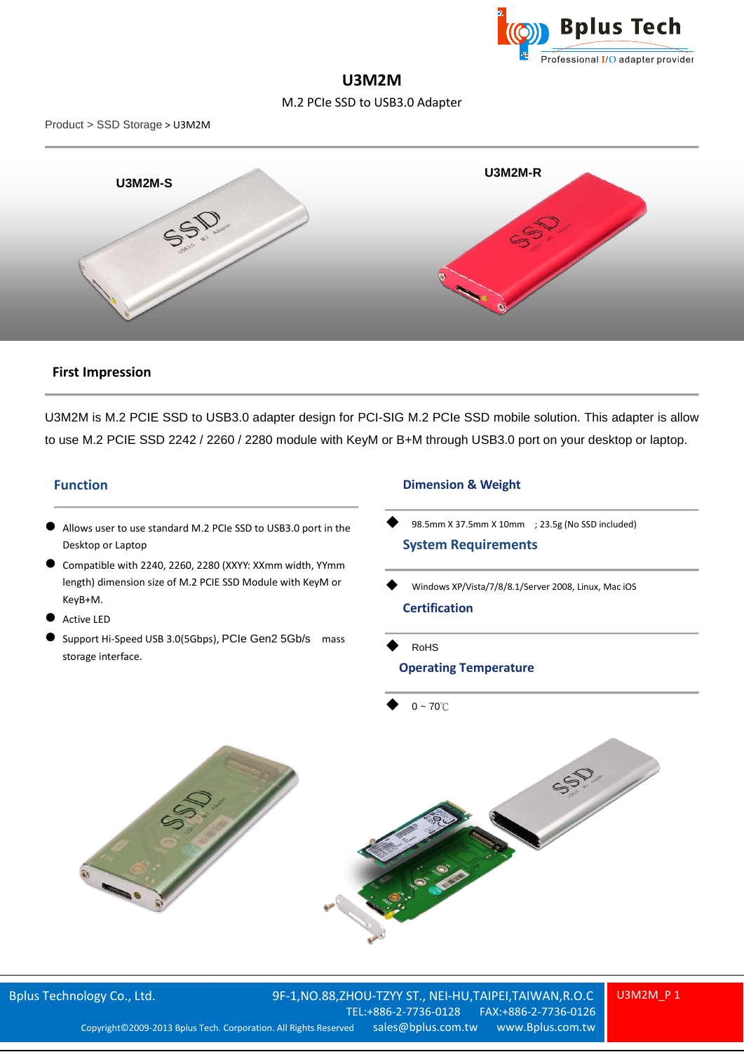

## **U3M2M**

M.2 PCIe SSD to USB3.0 Adapter

Product > SSD Storage > U3M2M



## **First Impression**

U3M2M is M.2 PCIE SSD to USB3.0 adapter design for PCI-SIG M.2 PCIe SSD mobile solution. This adapter is allow to use M.2 PCIE SSD 2242 / 2260 / 2280 module with KeyM or B+M through USB3.0 port on your desktop or laptop.

## **Function**

- Allows user to use standard M.2 PCIe SSD to USB3.0 port in the Desktop or Laptop
- Compatible with 2240, 2260, 2280 (XXYY: XXmm width, YYmm length) dimension size of M.2 PCIE SSD Module with KeyM or KeyB+M.
- Active LED
- Support Hi-Speed USB 3.0(5Gbps), PCIe Gen2 5Gb/s mass storage interface.

## **Dimension & Weight**

- 98.5mm X 37.5mm X 10mm ; 23.5g (No SSD included) **System Requirements**
- Windows XP/Vista/7/8/8.1/Server 2008, Linux, Mac iOS **Certification**
- RoHS **Operating Temperature**

 $0 - 70^{\circ}$ 



U3M2M\_P 1